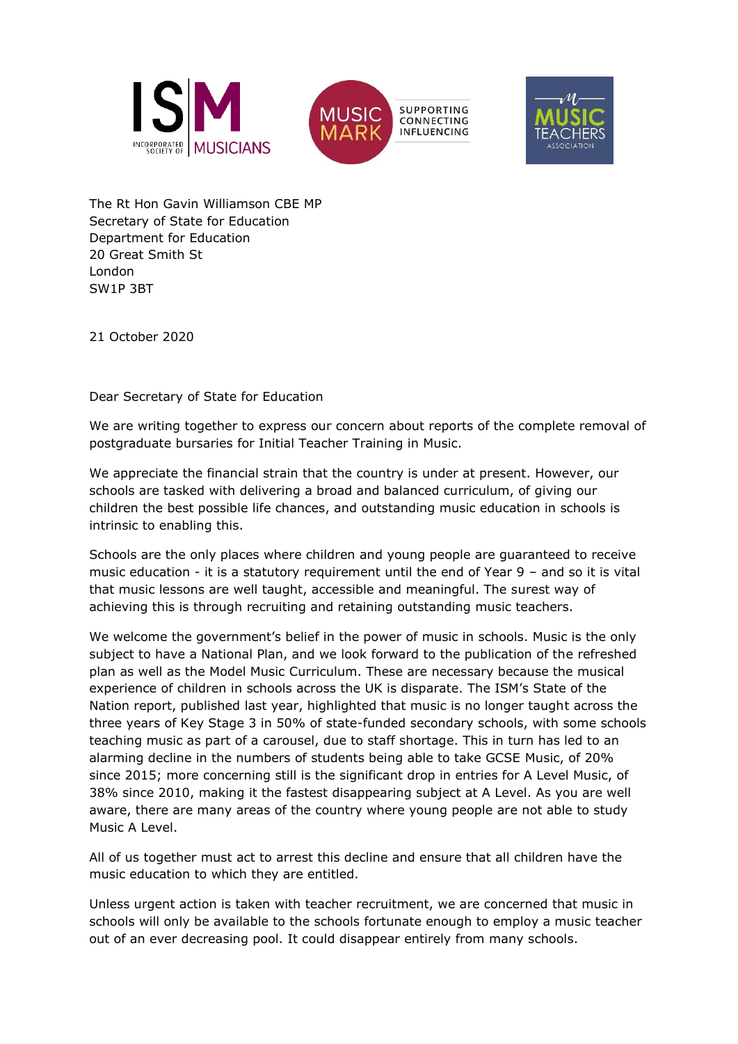





The Rt Hon Gavin Williamson CBE MP Secretary of State for Education Department for Education 20 Great Smith St London SW1P 3BT

21 October 2020

Dear Secretary of State for Education

We are writing together to express our concern about reports of the complete removal of postgraduate bursaries for Initial Teacher Training in Music.

We appreciate the financial strain that the country is under at present. However, our schools are tasked with delivering a broad and balanced curriculum, of giving our children the best possible life chances, and outstanding music education in schools is intrinsic to enabling this.

Schools are the only places where children and young people are guaranteed to receive music education - it is a statutory requirement until the end of Year 9 – and so it is vital that music lessons are well taught, accessible and meaningful. The surest way of achieving this is through recruiting and retaining outstanding music teachers.

We welcome the government's belief in the power of music in schools. Music is the only subject to have a National Plan, and we look forward to the publication of the refreshed plan as well as the Model Music Curriculum. These are necessary because the musical experience of children in schools across the UK is disparate. The ISM's State of the Nation report, published last year, highlighted that music is no longer taught across the three years of Key Stage 3 in 50% of state-funded secondary schools, with some schools teaching music as part of a carousel, due to staff shortage. This in turn has led to an alarming decline in the numbers of students being able to take GCSE Music, of 20% since 2015; more concerning still is the significant drop in entries for A Level Music, of 38% since 2010, making it the fastest disappearing subject at A Level. As you are well aware, there are many areas of the country where young people are not able to study Music A Level.

All of us together must act to arrest this decline and ensure that all children have the music education to which they are entitled.

Unless urgent action is taken with teacher recruitment, we are concerned that music in schools will only be available to the schools fortunate enough to employ a music teacher out of an ever decreasing pool. It could disappear entirely from many schools.